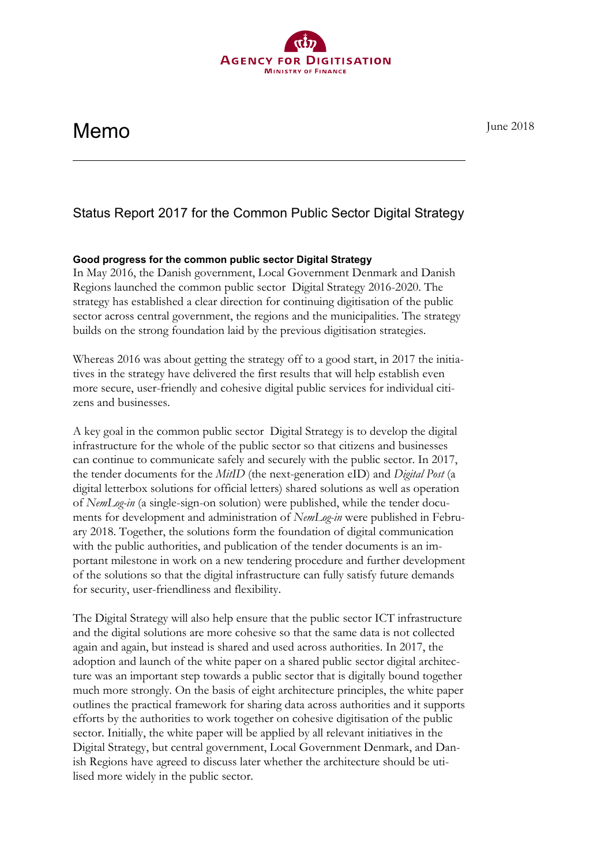# **Memo** June 2018

Status Report 2017 for the Common Public Sector Digital Strategy

## **Good progress for the common public sector Digital Strategy**

In May 2016, the Danish government, Local Government Denmark and Danish Regions launched the common public sector Digital Strategy 2016-2020. The strategy has established a clear direction for continuing digitisation of the public sector across central government, the regions and the municipalities. The strategy builds on the strong foundation laid by the previous digitisation strategies.

Whereas 2016 was about getting the strategy off to a good start, in 2017 the initiatives in the strategy have delivered the first results that will help establish even more secure, user-friendly and cohesive digital public services for individual citizens and businesses.

A key goal in the common public sector Digital Strategy is to develop the digital infrastructure for the whole of the public sector so that citizens and businesses can continue to communicate safely and securely with the public sector. In 2017, the tender documents for the *MitID* (the next-generation eID) and *Digital Post* (a digital letterbox solutions for official letters) shared solutions as well as operation of *NemLog-in* (a single-sign-on solution) were published, while the tender documents for development and administration of *NemLog-in* were published in February 2018. Together, the solutions form the foundation of digital communication with the public authorities, and publication of the tender documents is an important milestone in work on a new tendering procedure and further development of the solutions so that the digital infrastructure can fully satisfy future demands for security, user-friendliness and flexibility.

The Digital Strategy will also help ensure that the public sector ICT infrastructure and the digital solutions are more cohesive so that the same data is not collected again and again, but instead is shared and used across authorities. In 2017, the adoption and launch of the white paper on a shared public sector digital architecture was an important step towards a public sector that is digitally bound together much more strongly. On the basis of eight architecture principles, the white paper outlines the practical framework for sharing data across authorities and it supports efforts by the authorities to work together on cohesive digitisation of the public sector. Initially, the white paper will be applied by all relevant initiatives in the Digital Strategy, but central government, Local Government Denmark, and Danish Regions have agreed to discuss later whether the architecture should be utilised more widely in the public sector.

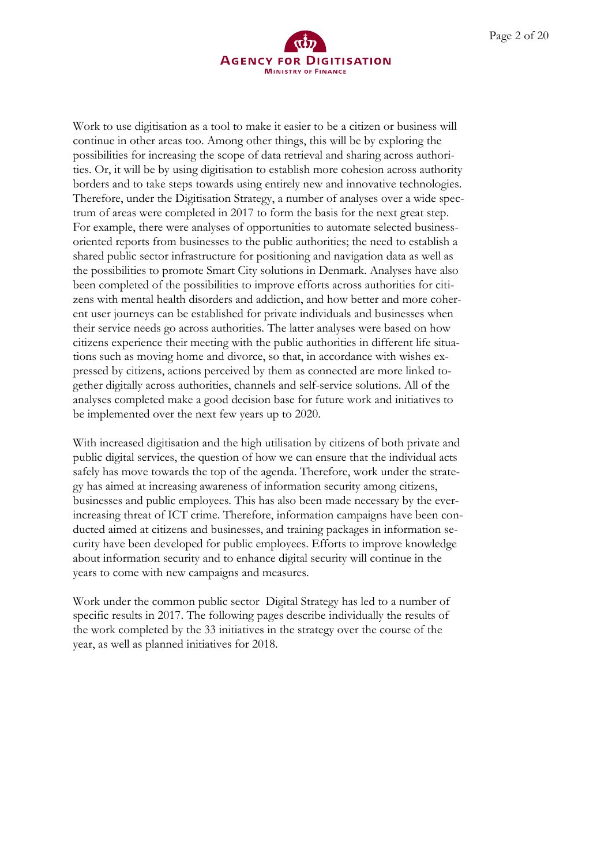

Work to use digitisation as a tool to make it easier to be a citizen or business will continue in other areas too. Among other things, this will be by exploring the possibilities for increasing the scope of data retrieval and sharing across authorities. Or, it will be by using digitisation to establish more cohesion across authority borders and to take steps towards using entirely new and innovative technologies. Therefore, under the Digitisation Strategy, a number of analyses over a wide spectrum of areas were completed in 2017 to form the basis for the next great step. For example, there were analyses of opportunities to automate selected businessoriented reports from businesses to the public authorities; the need to establish a shared public sector infrastructure for positioning and navigation data as well as the possibilities to promote Smart City solutions in Denmark. Analyses have also been completed of the possibilities to improve efforts across authorities for citizens with mental health disorders and addiction, and how better and more coherent user journeys can be established for private individuals and businesses when their service needs go across authorities. The latter analyses were based on how citizens experience their meeting with the public authorities in different life situations such as moving home and divorce, so that, in accordance with wishes expressed by citizens, actions perceived by them as connected are more linked together digitally across authorities, channels and self-service solutions. All of the analyses completed make a good decision base for future work and initiatives to be implemented over the next few years up to 2020.

With increased digitisation and the high utilisation by citizens of both private and public digital services, the question of how we can ensure that the individual acts safely has move towards the top of the agenda. Therefore, work under the strategy has aimed at increasing awareness of information security among citizens, businesses and public employees. This has also been made necessary by the everincreasing threat of ICT crime. Therefore, information campaigns have been conducted aimed at citizens and businesses, and training packages in information security have been developed for public employees. Efforts to improve knowledge about information security and to enhance digital security will continue in the years to come with new campaigns and measures.

Work under the common public sector Digital Strategy has led to a number of specific results in 2017. The following pages describe individually the results of the work completed by the 33 initiatives in the strategy over the course of the year, as well as planned initiatives for 2018.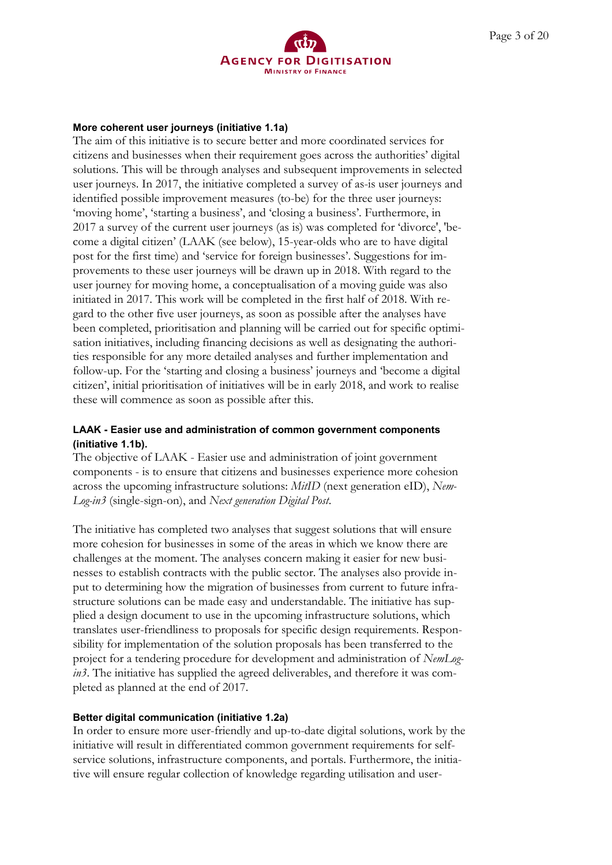

#### **More coherent user journeys (initiative 1.1a)**

The aim of this initiative is to secure better and more coordinated services for citizens and businesses when their requirement goes across the authorities' digital solutions. This will be through analyses and subsequent improvements in selected user journeys. In 2017, the initiative completed a survey of as-is user journeys and identified possible improvement measures (to-be) for the three user journeys: 'moving home', 'starting a business', and 'closing a business'. Furthermore, in 2017 a survey of the current user journeys (as is) was completed for 'divorce', 'become a digital citizen' (LAAK (see below), 15-year-olds who are to have digital post for the first time) and 'service for foreign businesses'. Suggestions for improvements to these user journeys will be drawn up in 2018. With regard to the user journey for moving home, a conceptualisation of a moving guide was also initiated in 2017. This work will be completed in the first half of 2018. With regard to the other five user journeys, as soon as possible after the analyses have been completed, prioritisation and planning will be carried out for specific optimisation initiatives, including financing decisions as well as designating the authorities responsible for any more detailed analyses and further implementation and follow-up. For the 'starting and closing a business' journeys and 'become a digital citizen', initial prioritisation of initiatives will be in early 2018, and work to realise these will commence as soon as possible after this.

## **LAAK - Easier use and administration of common government components (initiative 1.1b).**

The objective of LAAK - Easier use and administration of joint government components - is to ensure that citizens and businesses experience more cohesion across the upcoming infrastructure solutions: *MitID* (next generation eID), *Nem-Log-in3* (single-sign-on), and *Next generation Digital Post*.

The initiative has completed two analyses that suggest solutions that will ensure more cohesion for businesses in some of the areas in which we know there are challenges at the moment. The analyses concern making it easier for new businesses to establish contracts with the public sector. The analyses also provide input to determining how the migration of businesses from current to future infrastructure solutions can be made easy and understandable. The initiative has supplied a design document to use in the upcoming infrastructure solutions, which translates user-friendliness to proposals for specific design requirements. Responsibility for implementation of the solution proposals has been transferred to the project for a tendering procedure for development and administration of *NemLogin3*. The initiative has supplied the agreed deliverables, and therefore it was completed as planned at the end of 2017.

## **Better digital communication (initiative 1.2a)**

In order to ensure more user-friendly and up-to-date digital solutions, work by the initiative will result in differentiated common government requirements for selfservice solutions, infrastructure components, and portals. Furthermore, the initiative will ensure regular collection of knowledge regarding utilisation and user-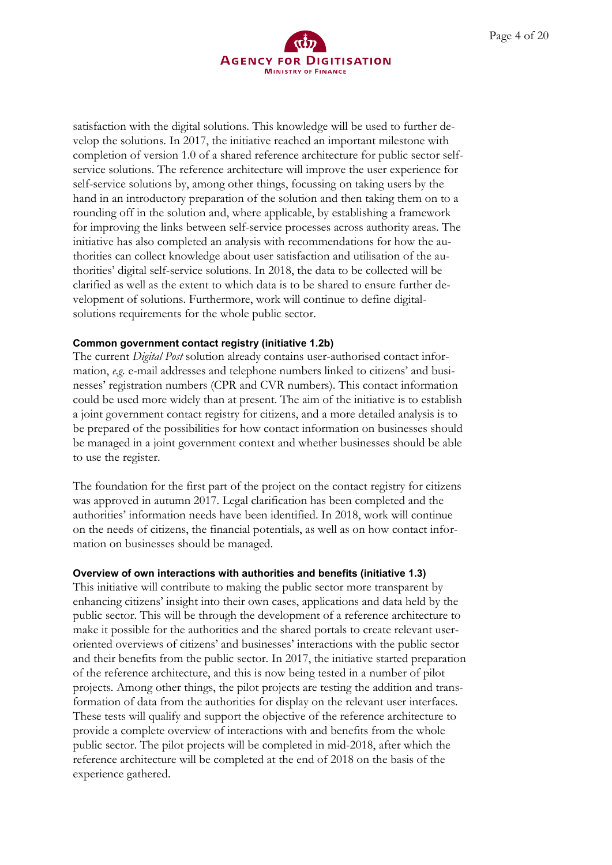

satisfaction with the digital solutions. This knowledge will be used to further develop the solutions. In 2017, the initiative reached an important milestone with completion of version 1.0 of a shared reference architecture for public sector selfservice solutions. The reference architecture will improve the user experience for self-service solutions by, among other things, focussing on taking users by the hand in an introductory preparation of the solution and then taking them on to a rounding off in the solution and, where applicable, by establishing a framework for improving the links between self-service processes across authority areas. The initiative has also completed an analysis with recommendations for how the authorities can collect knowledge about user satisfaction and utilisation of the authorities' digital self-service solutions. In 2018, the data to be collected will be clarified as well as the extent to which data is to be shared to ensure further development of solutions. Furthermore, work will continue to define digitalsolutions requirements for the whole public sector.

#### **Common government contact registry (initiative 1.2b)**

The current *Digital Post* solution already contains user-authorised contact information, *e.g.* e-mail addresses and telephone numbers linked to citizens' and businesses' registration numbers (CPR and CVR numbers). This contact information could be used more widely than at present. The aim of the initiative is to establish a joint government contact registry for citizens, and a more detailed analysis is to be prepared of the possibilities for how contact information on businesses should be managed in a joint government context and whether businesses should be able to use the register.

The foundation for the first part of the project on the contact registry for citizens was approved in autumn 2017. Legal clarification has been completed and the authorities' information needs have been identified. In 2018, work will continue on the needs of citizens, the financial potentials, as well as on how contact information on businesses should be managed.

#### **Overview of own interactions with authorities and benefits (initiative 1.3)**

This initiative will contribute to making the public sector more transparent by enhancing citizens' insight into their own cases, applications and data held by the public sector. This will be through the development of a reference architecture to make it possible for the authorities and the shared portals to create relevant useroriented overviews of citizens' and businesses' interactions with the public sector and their benefits from the public sector. In 2017, the initiative started preparation of the reference architecture, and this is now being tested in a number of pilot projects. Among other things, the pilot projects are testing the addition and transformation of data from the authorities for display on the relevant user interfaces. These tests will qualify and support the objective of the reference architecture to provide a complete overview of interactions with and benefits from the whole public sector. The pilot projects will be completed in mid-2018, after which the reference architecture will be completed at the end of 2018 on the basis of the experience gathered.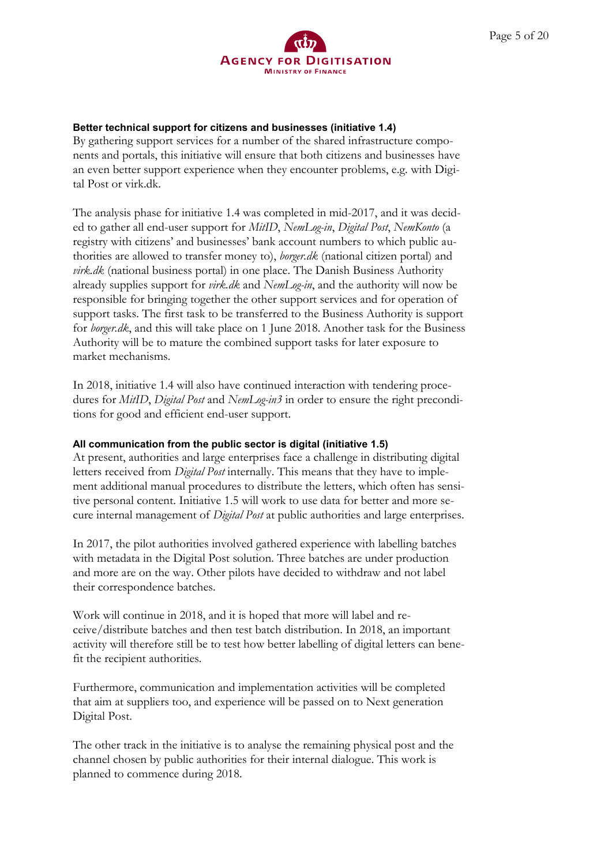By gathering support services for a number of the shared infrastructure components and portals, this initiative will ensure that both citizens and businesses have an even better support experience when they encounter problems, e.g. with Digital Post or virk.dk.

The analysis phase for initiative 1.4 was completed in mid-2017, and it was decided to gather all end-user support for *MitID*, *NemLog-in*, *Digital Post*, *NemKonto* (a registry with citizens' and businesses' bank account numbers to which public authorities are allowed to transfer money to), *borger.dk* (national citizen portal) and *virk.dk* (national business portal) in one place. The Danish Business Authority already supplies support for *virk.dk* and *NemLog-in*, and the authority will now be responsible for bringing together the other support services and for operation of support tasks. The first task to be transferred to the Business Authority is support for *borger.dk*, and this will take place on 1 June 2018. Another task for the Business Authority will be to mature the combined support tasks for later exposure to market mechanisms.

In 2018, initiative 1.4 will also have continued interaction with tendering procedures for *MitID*, *Digital Post* and *NemLog-in3* in order to ensure the right preconditions for good and efficient end-user support.

## **All communication from the public sector is digital (initiative 1.5)**

At present, authorities and large enterprises face a challenge in distributing digital letters received from *Digital Post* internally. This means that they have to implement additional manual procedures to distribute the letters, which often has sensitive personal content. Initiative 1.5 will work to use data for better and more secure internal management of *Digital Post* at public authorities and large enterprises.

In 2017, the pilot authorities involved gathered experience with labelling batches with metadata in the Digital Post solution. Three batches are under production and more are on the way. Other pilots have decided to withdraw and not label their correspondence batches.

Work will continue in 2018, and it is hoped that more will label and receive/distribute batches and then test batch distribution. In 2018, an important activity will therefore still be to test how better labelling of digital letters can benefit the recipient authorities.

Furthermore, communication and implementation activities will be completed that aim at suppliers too, and experience will be passed on to Next generation Digital Post.

The other track in the initiative is to analyse the remaining physical post and the channel chosen by public authorities for their internal dialogue. This work is planned to commence during 2018.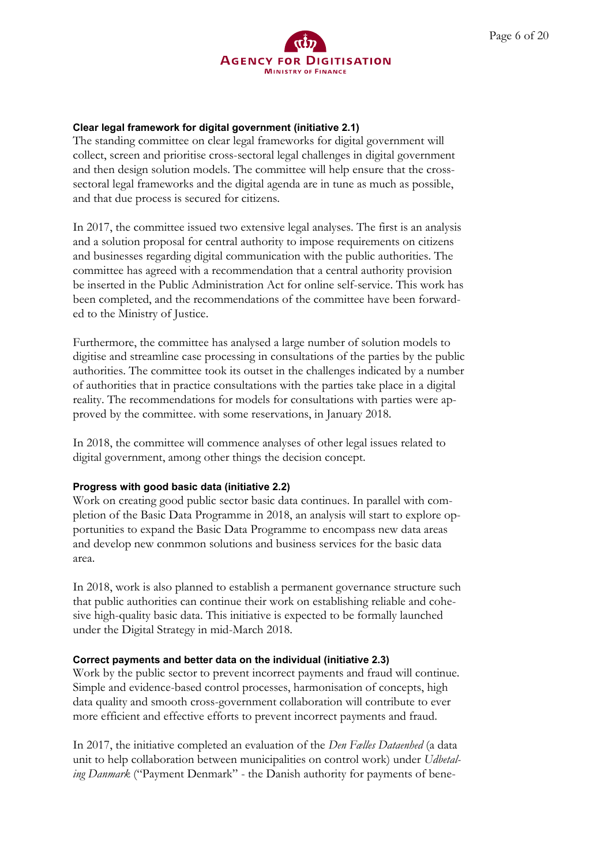## **AGENCY FOR DIGITISATION MINISTRY OF FINANCE**

## **Clear legal framework for digital government (initiative 2.1)**

The standing committee on clear legal frameworks for digital government will collect, screen and prioritise cross-sectoral legal challenges in digital government and then design solution models. The committee will help ensure that the crosssectoral legal frameworks and the digital agenda are in tune as much as possible, and that due process is secured for citizens.

In 2017, the committee issued two extensive legal analyses. The first is an analysis and a solution proposal for central authority to impose requirements on citizens and businesses regarding digital communication with the public authorities. The committee has agreed with a recommendation that a central authority provision be inserted in the Public Administration Act for online self-service. This work has been completed, and the recommendations of the committee have been forwarded to the Ministry of Justice.

Furthermore, the committee has analysed a large number of solution models to digitise and streamline case processing in consultations of the parties by the public authorities. The committee took its outset in the challenges indicated by a number of authorities that in practice consultations with the parties take place in a digital reality. The recommendations for models for consultations with parties were approved by the committee. with some reservations, in January 2018.

In 2018, the committee will commence analyses of other legal issues related to digital government, among other things the decision concept.

## **Progress with good basic data (initiative 2.2)**

Work on creating good public sector basic data continues. In parallel with completion of the Basic Data Programme in 2018, an analysis will start to explore opportunities to expand the Basic Data Programme to encompass new data areas and develop new conmmon solutions and business services for the basic data area.

In 2018, work is also planned to establish a permanent governance structure such that public authorities can continue their work on establishing reliable and cohesive high-quality basic data. This initiative is expected to be formally launched under the Digital Strategy in mid-March 2018.

## **Correct payments and better data on the individual (initiative 2.3)**

Work by the public sector to prevent incorrect payments and fraud will continue. Simple and evidence-based control processes, harmonisation of concepts, high data quality and smooth cross-government collaboration will contribute to ever more efficient and effective efforts to prevent incorrect payments and fraud.

In 2017, the initiative completed an evaluation of the *Den Fælles Dataenhed* (a data unit to help collaboration between municipalities on control work) under *Udbetaling Danmark* ("Payment Denmark" - the Danish authority for payments of bene-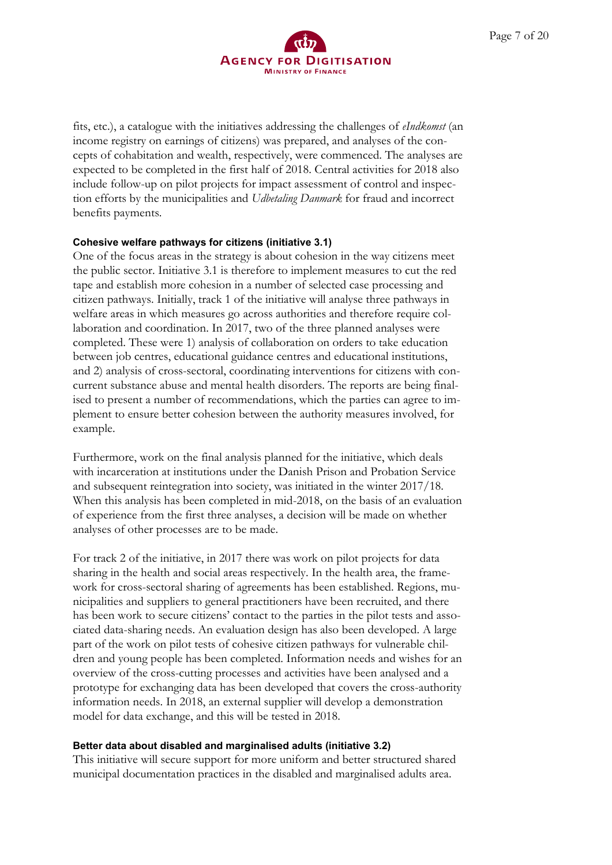

fits, etc.), a catalogue with the initiatives addressing the challenges of *eIndkomst* (an income registry on earnings of citizens) was prepared, and analyses of the concepts of cohabitation and wealth, respectively, were commenced. The analyses are expected to be completed in the first half of 2018. Central activities for 2018 also include follow-up on pilot projects for impact assessment of control and inspection efforts by the municipalities and *Udbetaling Danmark* for fraud and incorrect benefits payments.

#### **Cohesive welfare pathways for citizens (initiative 3.1)**

One of the focus areas in the strategy is about cohesion in the way citizens meet the public sector. Initiative 3.1 is therefore to implement measures to cut the red tape and establish more cohesion in a number of selected case processing and citizen pathways. Initially, track 1 of the initiative will analyse three pathways in welfare areas in which measures go across authorities and therefore require collaboration and coordination. In 2017, two of the three planned analyses were completed. These were 1) analysis of collaboration on orders to take education between job centres, educational guidance centres and educational institutions, and 2) analysis of cross-sectoral, coordinating interventions for citizens with concurrent substance abuse and mental health disorders. The reports are being finalised to present a number of recommendations, which the parties can agree to implement to ensure better cohesion between the authority measures involved, for example.

Furthermore, work on the final analysis planned for the initiative, which deals with incarceration at institutions under the Danish Prison and Probation Service and subsequent reintegration into society, was initiated in the winter 2017/18. When this analysis has been completed in mid-2018, on the basis of an evaluation of experience from the first three analyses, a decision will be made on whether analyses of other processes are to be made.

For track 2 of the initiative, in 2017 there was work on pilot projects for data sharing in the health and social areas respectively. In the health area, the framework for cross-sectoral sharing of agreements has been established. Regions, municipalities and suppliers to general practitioners have been recruited, and there has been work to secure citizens' contact to the parties in the pilot tests and associated data-sharing needs. An evaluation design has also been developed. A large part of the work on pilot tests of cohesive citizen pathways for vulnerable children and young people has been completed. Information needs and wishes for an overview of the cross-cutting processes and activities have been analysed and a prototype for exchanging data has been developed that covers the cross-authority information needs. In 2018, an external supplier will develop a demonstration model for data exchange, and this will be tested in 2018.

#### **Better data about disabled and marginalised adults (initiative 3.2)**

This initiative will secure support for more uniform and better structured shared municipal documentation practices in the disabled and marginalised adults area.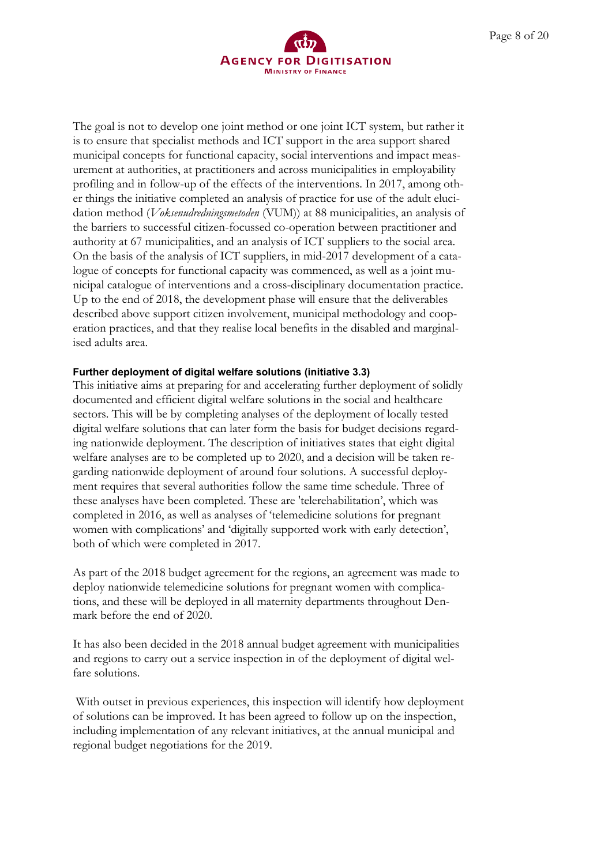

The goal is not to develop one joint method or one joint ICT system, but rather it is to ensure that specialist methods and ICT support in the area support shared municipal concepts for functional capacity, social interventions and impact measurement at authorities, at practitioners and across municipalities in employability profiling and in follow-up of the effects of the interventions. In 2017, among other things the initiative completed an analysis of practice for use of the adult elucidation method (*Voksenudredningsmetoden* (VUM)) at 88 municipalities, an analysis of the barriers to successful citizen-focussed co-operation between practitioner and authority at 67 municipalities, and an analysis of ICT suppliers to the social area. On the basis of the analysis of ICT suppliers, in mid-2017 development of a catalogue of concepts for functional capacity was commenced, as well as a joint municipal catalogue of interventions and a cross-disciplinary documentation practice. Up to the end of 2018, the development phase will ensure that the deliverables described above support citizen involvement, municipal methodology and cooperation practices, and that they realise local benefits in the disabled and marginalised adults area.

#### **Further deployment of digital welfare solutions (initiative 3.3)**

This initiative aims at preparing for and accelerating further deployment of solidly documented and efficient digital welfare solutions in the social and healthcare sectors. This will be by completing analyses of the deployment of locally tested digital welfare solutions that can later form the basis for budget decisions regarding nationwide deployment. The description of initiatives states that eight digital welfare analyses are to be completed up to 2020, and a decision will be taken regarding nationwide deployment of around four solutions. A successful deployment requires that several authorities follow the same time schedule. Three of these analyses have been completed. These are 'telerehabilitation', which was completed in 2016, as well as analyses of 'telemedicine solutions for pregnant women with complications' and 'digitally supported work with early detection', both of which were completed in 2017.

As part of the 2018 budget agreement for the regions, an agreement was made to deploy nationwide telemedicine solutions for pregnant women with complications, and these will be deployed in all maternity departments throughout Denmark before the end of 2020.

It has also been decided in the 2018 annual budget agreement with municipalities and regions to carry out a service inspection in of the deployment of digital welfare solutions.

With outset in previous experiences, this inspection will identify how deployment of solutions can be improved. It has been agreed to follow up on the inspection, including implementation of any relevant initiatives, at the annual municipal and regional budget negotiations for the 2019.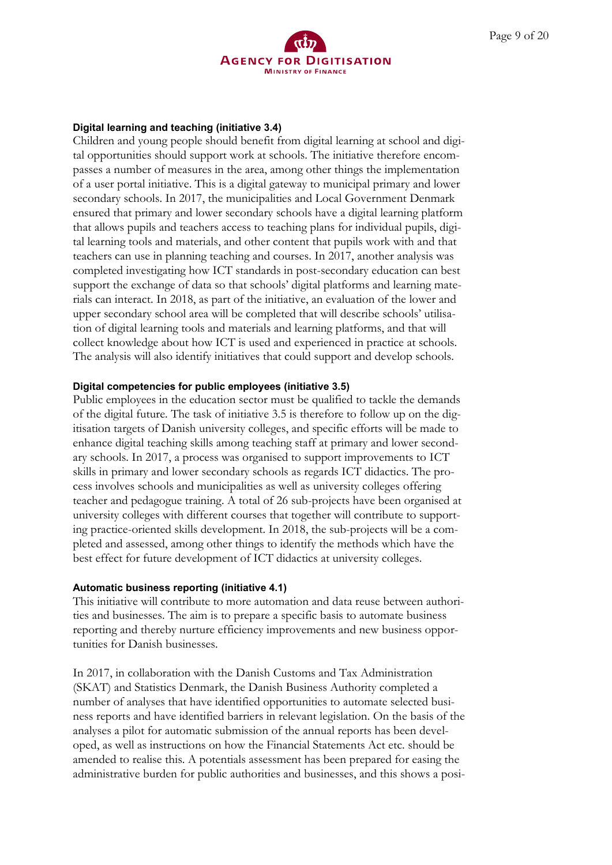

#### **Digital learning and teaching (initiative 3.4)**

Children and young people should benefit from digital learning at school and digital opportunities should support work at schools. The initiative therefore encompasses a number of measures in the area, among other things the implementation of a user portal initiative. This is a digital gateway to municipal primary and lower secondary schools. In 2017, the municipalities and Local Government Denmark ensured that primary and lower secondary schools have a digital learning platform that allows pupils and teachers access to teaching plans for individual pupils, digital learning tools and materials, and other content that pupils work with and that teachers can use in planning teaching and courses. In 2017, another analysis was completed investigating how ICT standards in post-secondary education can best support the exchange of data so that schools' digital platforms and learning materials can interact. In 2018, as part of the initiative, an evaluation of the lower and upper secondary school area will be completed that will describe schools' utilisation of digital learning tools and materials and learning platforms, and that will collect knowledge about how ICT is used and experienced in practice at schools. The analysis will also identify initiatives that could support and develop schools.

#### **Digital competencies for public employees (initiative 3.5)**

Public employees in the education sector must be qualified to tackle the demands of the digital future. The task of initiative 3.5 is therefore to follow up on the digitisation targets of Danish university colleges, and specific efforts will be made to enhance digital teaching skills among teaching staff at primary and lower secondary schools. In 2017, a process was organised to support improvements to ICT skills in primary and lower secondary schools as regards ICT didactics. The process involves schools and municipalities as well as university colleges offering teacher and pedagogue training. A total of 26 sub-projects have been organised at university colleges with different courses that together will contribute to supporting practice-oriented skills development. In 2018, the sub-projects will be a completed and assessed, among other things to identify the methods which have the best effect for future development of ICT didactics at university colleges.

#### **Automatic business reporting (initiative 4.1)**

This initiative will contribute to more automation and data reuse between authorities and businesses. The aim is to prepare a specific basis to automate business reporting and thereby nurture efficiency improvements and new business opportunities for Danish businesses.

In 2017, in collaboration with the Danish Customs and Tax Administration (SKAT) and Statistics Denmark, the Danish Business Authority completed a number of analyses that have identified opportunities to automate selected business reports and have identified barriers in relevant legislation. On the basis of the analyses a pilot for automatic submission of the annual reports has been developed, as well as instructions on how the Financial Statements Act etc. should be amended to realise this. A potentials assessment has been prepared for easing the administrative burden for public authorities and businesses, and this shows a posi-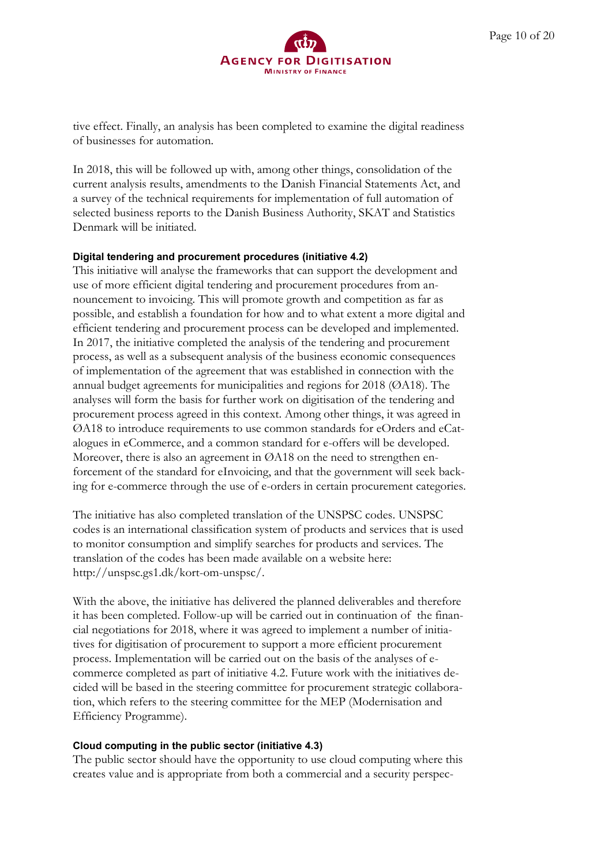

tive effect. Finally, an analysis has been completed to examine the digital readiness of businesses for automation.

In 2018, this will be followed up with, among other things, consolidation of the current analysis results, amendments to the Danish Financial Statements Act, and a survey of the technical requirements for implementation of full automation of selected business reports to the Danish Business Authority, SKAT and Statistics Denmark will be initiated.

#### **Digital tendering and procurement procedures (initiative 4.2)**

This initiative will analyse the frameworks that can support the development and use of more efficient digital tendering and procurement procedures from announcement to invoicing. This will promote growth and competition as far as possible, and establish a foundation for how and to what extent a more digital and efficient tendering and procurement process can be developed and implemented. In 2017, the initiative completed the analysis of the tendering and procurement process, as well as a subsequent analysis of the business economic consequences of implementation of the agreement that was established in connection with the annual budget agreements for municipalities and regions for 2018 (ØA18). The analyses will form the basis for further work on digitisation of the tendering and procurement process agreed in this context. Among other things, it was agreed in ØA18 to introduce requirements to use common standards for eOrders and eCatalogues in eCommerce, and a common standard for e-offers will be developed. Moreover, there is also an agreement in  $\mathcal{O}$ A18 on the need to strengthen enforcement of the standard for eInvoicing, and that the government will seek backing for e-commerce through the use of e-orders in certain procurement categories.

The initiative has also completed translation of the UNSPSC codes. UNSPSC codes is an international classification system of products and services that is used to monitor consumption and simplify searches for products and services. The translation of the codes has been made available on a website here: http://unspsc.gs1.dk/kort-om-unspsc/.

With the above, the initiative has delivered the planned deliverables and therefore it has been completed. Follow-up will be carried out in continuation of the financial negotiations for 2018, where it was agreed to implement a number of initiatives for digitisation of procurement to support a more efficient procurement process. Implementation will be carried out on the basis of the analyses of ecommerce completed as part of initiative 4.2. Future work with the initiatives decided will be based in the steering committee for procurement strategic collaboration, which refers to the steering committee for the MEP (Modernisation and Efficiency Programme).

#### **Cloud computing in the public sector (initiative 4.3)**

The public sector should have the opportunity to use cloud computing where this creates value and is appropriate from both a commercial and a security perspec-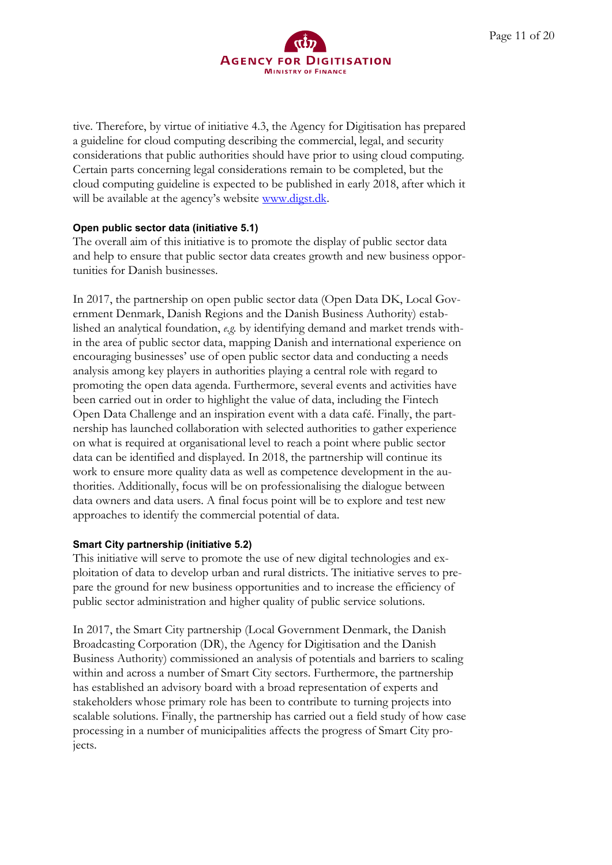

tive. Therefore, by virtue of initiative 4.3, the Agency for Digitisation has prepared a guideline for cloud computing describing the commercial, legal, and security considerations that public authorities should have prior to using cloud computing. Certain parts concerning legal considerations remain to be completed, but the cloud computing guideline is expected to be published in early 2018, after which it will be available at the agency's website [www.digst.dk.](http://www.digst.dk/)

#### **Open public sector data (initiative 5.1)**

The overall aim of this initiative is to promote the display of public sector data and help to ensure that public sector data creates growth and new business opportunities for Danish businesses.

In 2017, the partnership on open public sector data (Open Data DK, Local Government Denmark, Danish Regions and the Danish Business Authority) established an analytical foundation, *e.g.* by identifying demand and market trends within the area of public sector data, mapping Danish and international experience on encouraging businesses' use of open public sector data and conducting a needs analysis among key players in authorities playing a central role with regard to promoting the open data agenda. Furthermore, several events and activities have been carried out in order to highlight the value of data, including the Fintech Open Data Challenge and an inspiration event with a data café. Finally, the partnership has launched collaboration with selected authorities to gather experience on what is required at organisational level to reach a point where public sector data can be identified and displayed. In 2018, the partnership will continue its work to ensure more quality data as well as competence development in the authorities. Additionally, focus will be on professionalising the dialogue between data owners and data users. A final focus point will be to explore and test new approaches to identify the commercial potential of data.

#### **Smart City partnership (initiative 5.2)**

This initiative will serve to promote the use of new digital technologies and exploitation of data to develop urban and rural districts. The initiative serves to prepare the ground for new business opportunities and to increase the efficiency of public sector administration and higher quality of public service solutions.

In 2017, the Smart City partnership (Local Government Denmark, the Danish Broadcasting Corporation (DR), the Agency for Digitisation and the Danish Business Authority) commissioned an analysis of potentials and barriers to scaling within and across a number of Smart City sectors. Furthermore, the partnership has established an advisory board with a broad representation of experts and stakeholders whose primary role has been to contribute to turning projects into scalable solutions. Finally, the partnership has carried out a field study of how case processing in a number of municipalities affects the progress of Smart City projects.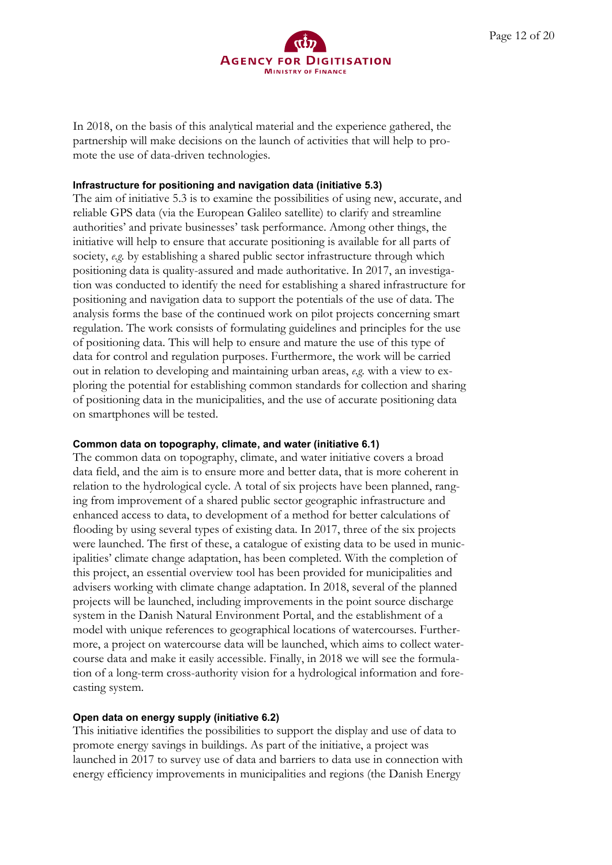

In 2018, on the basis of this analytical material and the experience gathered, the partnership will make decisions on the launch of activities that will help to promote the use of data-driven technologies.

#### **Infrastructure for positioning and navigation data (initiative 5.3)**

The aim of initiative 5.3 is to examine the possibilities of using new, accurate, and reliable GPS data (via the European Galileo satellite) to clarify and streamline authorities' and private businesses' task performance. Among other things, the initiative will help to ensure that accurate positioning is available for all parts of society, *e.g.* by establishing a shared public sector infrastructure through which positioning data is quality-assured and made authoritative. In 2017, an investigation was conducted to identify the need for establishing a shared infrastructure for positioning and navigation data to support the potentials of the use of data. The analysis forms the base of the continued work on pilot projects concerning smart regulation. The work consists of formulating guidelines and principles for the use of positioning data. This will help to ensure and mature the use of this type of data for control and regulation purposes. Furthermore, the work will be carried out in relation to developing and maintaining urban areas, *e.g.* with a view to exploring the potential for establishing common standards for collection and sharing of positioning data in the municipalities, and the use of accurate positioning data on smartphones will be tested.

#### **Common data on topography, climate, and water (initiative 6.1)**

The common data on topography, climate, and water initiative covers a broad data field, and the aim is to ensure more and better data, that is more coherent in relation to the hydrological cycle. A total of six projects have been planned, ranging from improvement of a shared public sector geographic infrastructure and enhanced access to data, to development of a method for better calculations of flooding by using several types of existing data. In 2017, three of the six projects were launched. The first of these, a catalogue of existing data to be used in municipalities' climate change adaptation, has been completed. With the completion of this project, an essential overview tool has been provided for municipalities and advisers working with climate change adaptation. In 2018, several of the planned projects will be launched, including improvements in the point source discharge system in the Danish Natural Environment Portal, and the establishment of a model with unique references to geographical locations of watercourses. Furthermore, a project on watercourse data will be launched, which aims to collect watercourse data and make it easily accessible. Finally, in 2018 we will see the formulation of a long-term cross-authority vision for a hydrological information and forecasting system.

#### **Open data on energy supply (initiative 6.2)**

This initiative identifies the possibilities to support the display and use of data to promote energy savings in buildings. As part of the initiative, a project was launched in 2017 to survey use of data and barriers to data use in connection with energy efficiency improvements in municipalities and regions (the Danish Energy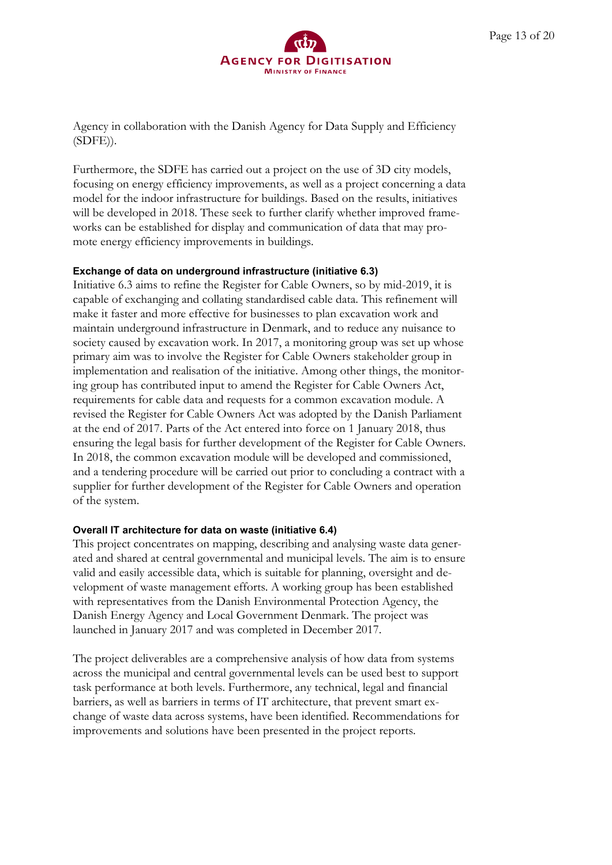

Agency in collaboration with the Danish Agency for Data Supply and Efficiency (SDFE)).

Furthermore, the SDFE has carried out a project on the use of 3D city models, focusing on energy efficiency improvements, as well as a project concerning a data model for the indoor infrastructure for buildings. Based on the results, initiatives will be developed in 2018. These seek to further clarify whether improved frameworks can be established for display and communication of data that may promote energy efficiency improvements in buildings.

#### **Exchange of data on underground infrastructure (initiative 6.3)**

Initiative 6.3 aims to refine the Register for Cable Owners, so by mid-2019, it is capable of exchanging and collating standardised cable data. This refinement will make it faster and more effective for businesses to plan excavation work and maintain underground infrastructure in Denmark, and to reduce any nuisance to society caused by excavation work. In 2017, a monitoring group was set up whose primary aim was to involve the Register for Cable Owners stakeholder group in implementation and realisation of the initiative. Among other things, the monitoring group has contributed input to amend the Register for Cable Owners Act, requirements for cable data and requests for a common excavation module. A revised the Register for Cable Owners Act was adopted by the Danish Parliament at the end of 2017. Parts of the Act entered into force on 1 January 2018, thus ensuring the legal basis for further development of the Register for Cable Owners. In 2018, the common excavation module will be developed and commissioned, and a tendering procedure will be carried out prior to concluding a contract with a supplier for further development of the Register for Cable Owners and operation of the system.

#### **Overall IT architecture for data on waste (initiative 6.4)**

This project concentrates on mapping, describing and analysing waste data generated and shared at central governmental and municipal levels. The aim is to ensure valid and easily accessible data, which is suitable for planning, oversight and development of waste management efforts. A working group has been established with representatives from the Danish Environmental Protection Agency, the Danish Energy Agency and Local Government Denmark. The project was launched in January 2017 and was completed in December 2017.

The project deliverables are a comprehensive analysis of how data from systems across the municipal and central governmental levels can be used best to support task performance at both levels. Furthermore, any technical, legal and financial barriers, as well as barriers in terms of IT architecture, that prevent smart exchange of waste data across systems, have been identified. Recommendations for improvements and solutions have been presented in the project reports.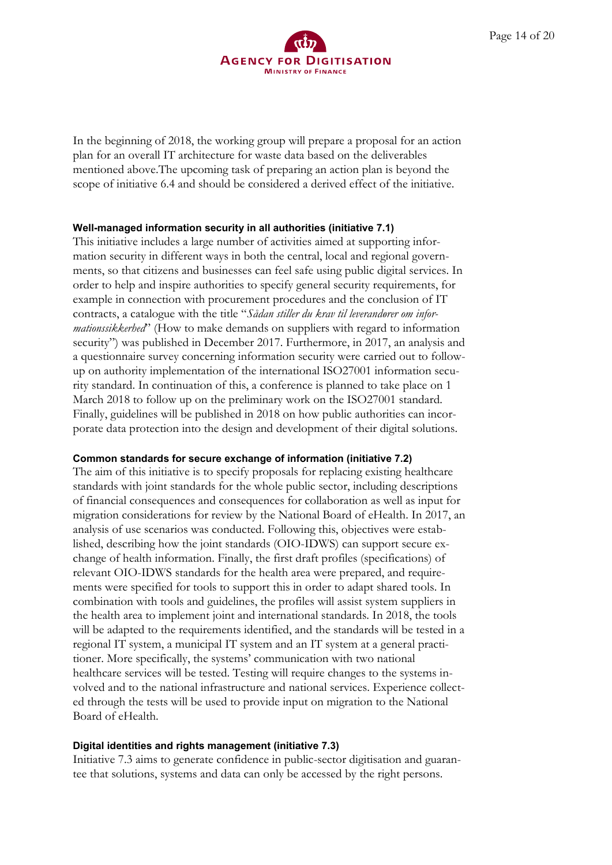

In the beginning of 2018, the working group will prepare a proposal for an action plan for an overall IT architecture for waste data based on the deliverables mentioned above.The upcoming task of preparing an action plan is beyond the scope of initiative 6.4 and should be considered a derived effect of the initiative.

#### **Well-managed information security in all authorities (initiative 7.1)**

This initiative includes a large number of activities aimed at supporting information security in different ways in both the central, local and regional governments, so that citizens and businesses can feel safe using public digital services. In order to help and inspire authorities to specify general security requirements, for example in connection with procurement procedures and the conclusion of IT contracts, a catalogue with the title "*Sådan stiller du krav til leverandører om informationssikkerhed*" (How to make demands on suppliers with regard to information security") was published in December 2017. Furthermore, in 2017, an analysis and a questionnaire survey concerning information security were carried out to followup on authority implementation of the international ISO27001 information security standard. In continuation of this, a conference is planned to take place on 1 March 2018 to follow up on the preliminary work on the ISO27001 standard. Finally, guidelines will be published in 2018 on how public authorities can incorporate data protection into the design and development of their digital solutions.

## **Common standards for secure exchange of information (initiative 7.2)**

The aim of this initiative is to specify proposals for replacing existing healthcare standards with joint standards for the whole public sector, including descriptions of financial consequences and consequences for collaboration as well as input for migration considerations for review by the National Board of eHealth. In 2017, an analysis of use scenarios was conducted. Following this, objectives were established, describing how the joint standards (OIO-IDWS) can support secure exchange of health information. Finally, the first draft profiles (specifications) of relevant OIO-IDWS standards for the health area were prepared, and requirements were specified for tools to support this in order to adapt shared tools. In combination with tools and guidelines, the profiles will assist system suppliers in the health area to implement joint and international standards. In 2018, the tools will be adapted to the requirements identified, and the standards will be tested in a regional IT system, a municipal IT system and an IT system at a general practitioner. More specifically, the systems' communication with two national healthcare services will be tested. Testing will require changes to the systems involved and to the national infrastructure and national services. Experience collected through the tests will be used to provide input on migration to the National Board of eHealth.

## **Digital identities and rights management (initiative 7.3)**

Initiative 7.3 aims to generate confidence in public-sector digitisation and guarantee that solutions, systems and data can only be accessed by the right persons.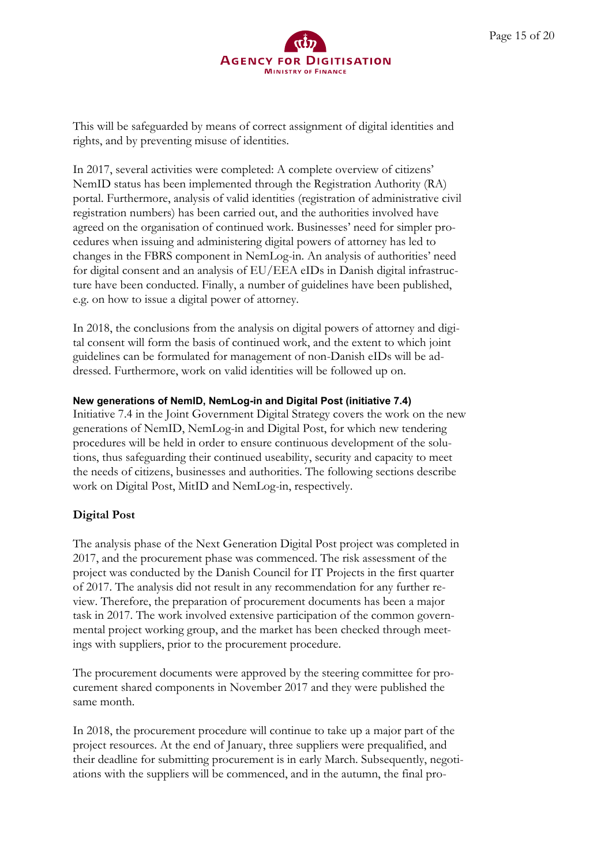

This will be safeguarded by means of correct assignment of digital identities and rights, and by preventing misuse of identities.

In 2017, several activities were completed: A complete overview of citizens' NemID status has been implemented through the Registration Authority (RA) portal. Furthermore, analysis of valid identities (registration of administrative civil registration numbers) has been carried out, and the authorities involved have agreed on the organisation of continued work. Businesses' need for simpler procedures when issuing and administering digital powers of attorney has led to changes in the FBRS component in NemLog-in. An analysis of authorities' need for digital consent and an analysis of EU/EEA eIDs in Danish digital infrastructure have been conducted. Finally, a number of guidelines have been published, e.g. on how to issue a digital power of attorney.

In 2018, the conclusions from the analysis on digital powers of attorney and digital consent will form the basis of continued work, and the extent to which joint guidelines can be formulated for management of non-Danish eIDs will be addressed. Furthermore, work on valid identities will be followed up on.

#### **New generations of NemID, NemLog-in and Digital Post (initiative 7.4)**

Initiative 7.4 in the Joint Government Digital Strategy covers the work on the new generations of NemID, NemLog-in and Digital Post, for which new tendering procedures will be held in order to ensure continuous development of the solutions, thus safeguarding their continued useability, security and capacity to meet the needs of citizens, businesses and authorities. The following sections describe work on Digital Post, MitID and NemLog-in, respectively.

## **Digital Post**

The analysis phase of the Next Generation Digital Post project was completed in 2017, and the procurement phase was commenced. The risk assessment of the project was conducted by the Danish Council for IT Projects in the first quarter of 2017. The analysis did not result in any recommendation for any further review. Therefore, the preparation of procurement documents has been a major task in 2017. The work involved extensive participation of the common governmental project working group, and the market has been checked through meetings with suppliers, prior to the procurement procedure.

The procurement documents were approved by the steering committee for procurement shared components in November 2017 and they were published the same month.

In 2018, the procurement procedure will continue to take up a major part of the project resources. At the end of January, three suppliers were prequalified, and their deadline for submitting procurement is in early March. Subsequently, negotiations with the suppliers will be commenced, and in the autumn, the final pro-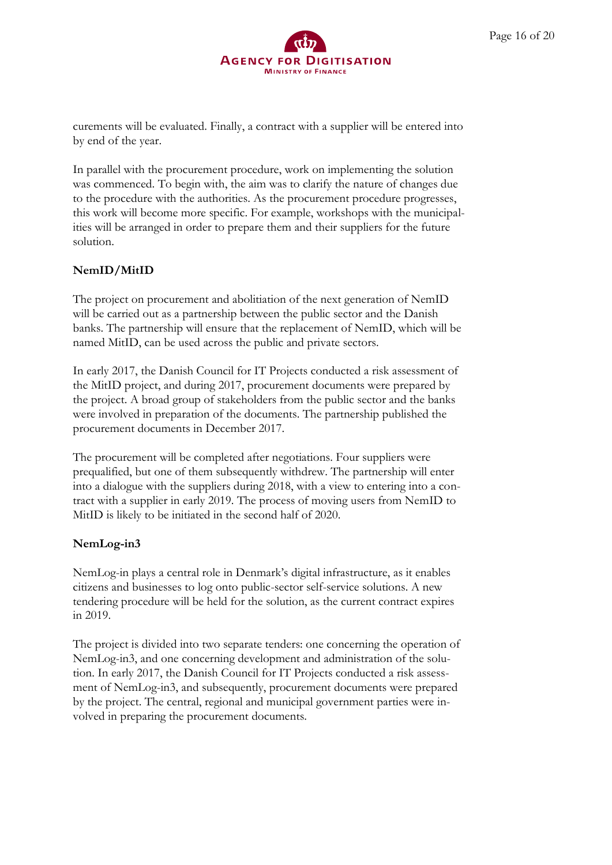

curements will be evaluated. Finally, a contract with a supplier will be entered into by end of the year.

In parallel with the procurement procedure, work on implementing the solution was commenced. To begin with, the aim was to clarify the nature of changes due to the procedure with the authorities. As the procurement procedure progresses, this work will become more specific. For example, workshops with the municipalities will be arranged in order to prepare them and their suppliers for the future solution.

## **NemID/MitID**

The project on procurement and abolitiation of the next generation of NemID will be carried out as a partnership between the public sector and the Danish banks. The partnership will ensure that the replacement of NemID, which will be named MitID, can be used across the public and private sectors.

In early 2017, the Danish Council for IT Projects conducted a risk assessment of the MitID project, and during 2017, procurement documents were prepared by the project. A broad group of stakeholders from the public sector and the banks were involved in preparation of the documents. The partnership published the procurement documents in December 2017.

The procurement will be completed after negotiations. Four suppliers were prequalified, but one of them subsequently withdrew. The partnership will enter into a dialogue with the suppliers during 2018, with a view to entering into a contract with a supplier in early 2019. The process of moving users from NemID to MitID is likely to be initiated in the second half of 2020.

## **NemLog-in3**

NemLog-in plays a central role in Denmark's digital infrastructure, as it enables citizens and businesses to log onto public-sector self-service solutions. A new tendering procedure will be held for the solution, as the current contract expires in 2019.

The project is divided into two separate tenders: one concerning the operation of NemLog-in3, and one concerning development and administration of the solution. In early 2017, the Danish Council for IT Projects conducted a risk assessment of NemLog-in3, and subsequently, procurement documents were prepared by the project. The central, regional and municipal government parties were involved in preparing the procurement documents.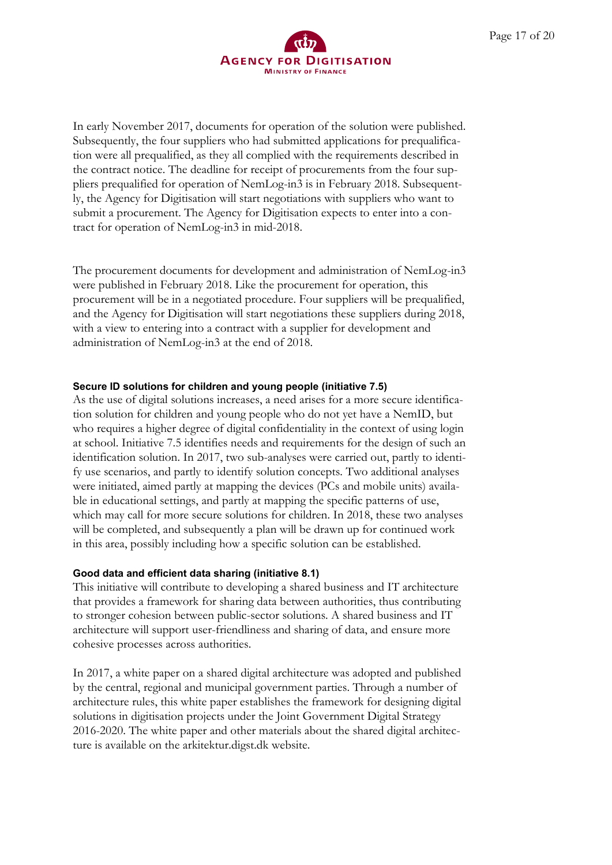

In early November 2017, documents for operation of the solution were published. Subsequently, the four suppliers who had submitted applications for prequalification were all prequalified, as they all complied with the requirements described in the contract notice. The deadline for receipt of procurements from the four suppliers prequalified for operation of NemLog-in3 is in February 2018. Subsequently, the Agency for Digitisation will start negotiations with suppliers who want to submit a procurement. The Agency for Digitisation expects to enter into a contract for operation of NemLog-in3 in mid-2018.

The procurement documents for development and administration of NemLog-in3 were published in February 2018. Like the procurement for operation, this procurement will be in a negotiated procedure. Four suppliers will be prequalified, and the Agency for Digitisation will start negotiations these suppliers during 2018, with a view to entering into a contract with a supplier for development and administration of NemLog-in3 at the end of 2018.

#### **Secure ID solutions for children and young people (initiative 7.5)**

As the use of digital solutions increases, a need arises for a more secure identification solution for children and young people who do not yet have a NemID, but who requires a higher degree of digital confidentiality in the context of using login at school. Initiative 7.5 identifies needs and requirements for the design of such an identification solution. In 2017, two sub-analyses were carried out, partly to identify use scenarios, and partly to identify solution concepts. Two additional analyses were initiated, aimed partly at mapping the devices (PCs and mobile units) available in educational settings, and partly at mapping the specific patterns of use, which may call for more secure solutions for children. In 2018, these two analyses will be completed, and subsequently a plan will be drawn up for continued work in this area, possibly including how a specific solution can be established.

#### **Good data and efficient data sharing (initiative 8.1)**

This initiative will contribute to developing a shared business and IT architecture that provides a framework for sharing data between authorities, thus contributing to stronger cohesion between public-sector solutions. A shared business and IT architecture will support user-friendliness and sharing of data, and ensure more cohesive processes across authorities.

In 2017, a white paper on a shared digital architecture was adopted and published by the central, regional and municipal government parties. Through a number of architecture rules, this white paper establishes the framework for designing digital solutions in digitisation projects under the Joint Government Digital Strategy 2016-2020. The white paper and other materials about the shared digital architecture is available on the arkitektur.digst.dk website.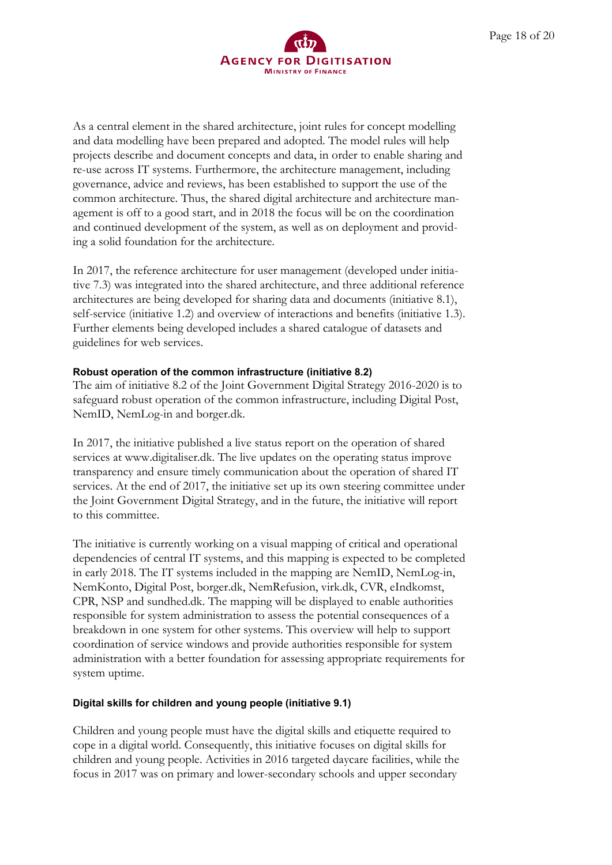

As a central element in the shared architecture, joint rules for concept modelling and data modelling have been prepared and adopted. The model rules will help projects describe and document concepts and data, in order to enable sharing and re-use across IT systems. Furthermore, the architecture management, including governance, advice and reviews, has been established to support the use of the common architecture. Thus, the shared digital architecture and architecture management is off to a good start, and in 2018 the focus will be on the coordination and continued development of the system, as well as on deployment and providing a solid foundation for the architecture.

In 2017, the reference architecture for user management (developed under initiative 7.3) was integrated into the shared architecture, and three additional reference architectures are being developed for sharing data and documents (initiative 8.1), self-service (initiative 1.2) and overview of interactions and benefits (initiative 1.3). Further elements being developed includes a shared catalogue of datasets and guidelines for web services.

#### **Robust operation of the common infrastructure (initiative 8.2)**

The aim of initiative 8.2 of the Joint Government Digital Strategy 2016-2020 is to safeguard robust operation of the common infrastructure, including Digital Post, NemID, NemLog-in and borger.dk.

In 2017, the initiative published a live status report on the operation of shared services at www.digitaliser.dk. The live updates on the operating status improve transparency and ensure timely communication about the operation of shared IT services. At the end of 2017, the initiative set up its own steering committee under the Joint Government Digital Strategy, and in the future, the initiative will report to this committee.

The initiative is currently working on a visual mapping of critical and operational dependencies of central IT systems, and this mapping is expected to be completed in early 2018. The IT systems included in the mapping are NemID, NemLog-in, NemKonto, Digital Post, borger.dk, NemRefusion, virk.dk, CVR, eIndkomst, CPR, NSP and sundhed.dk. The mapping will be displayed to enable authorities responsible for system administration to assess the potential consequences of a breakdown in one system for other systems. This overview will help to support coordination of service windows and provide authorities responsible for system administration with a better foundation for assessing appropriate requirements for system uptime.

#### **Digital skills for children and young people (initiative 9.1)**

Children and young people must have the digital skills and etiquette required to cope in a digital world. Consequently, this initiative focuses on digital skills for children and young people. Activities in 2016 targeted daycare facilities, while the focus in 2017 was on primary and lower-secondary schools and upper secondary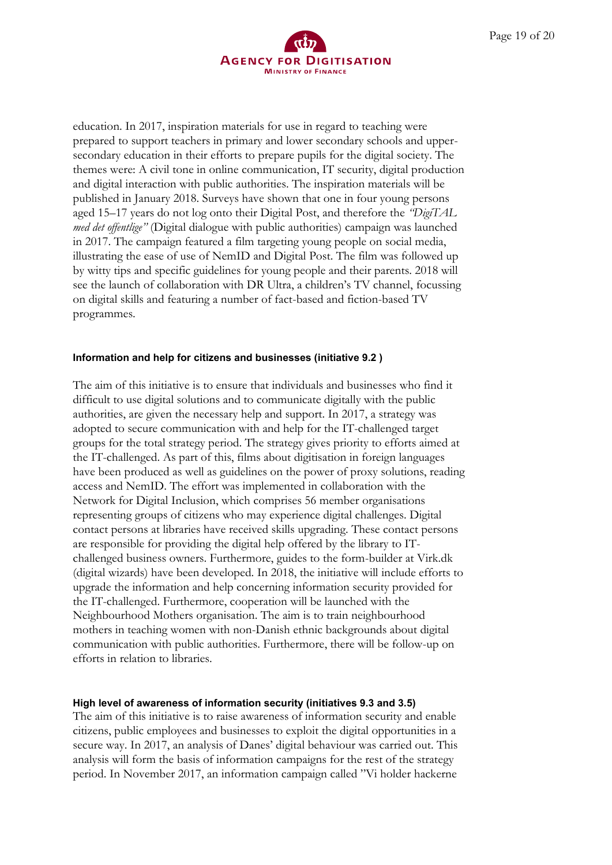

education. In 2017, inspiration materials for use in regard to teaching were prepared to support teachers in primary and lower secondary schools and uppersecondary education in their efforts to prepare pupils for the digital society. The themes were: A civil tone in online communication, IT security, digital production and digital interaction with public authorities. The inspiration materials will be published in January 2018. Surveys have shown that one in four young persons aged 15–17 years do not log onto their Digital Post, and therefore the *"DigiTAL med det offentlige"* (Digital dialogue with public authorities) campaign was launched in 2017. The campaign featured a film targeting young people on social media, illustrating the ease of use of NemID and Digital Post. The film was followed up by witty tips and specific guidelines for young people and their parents. 2018 will see the launch of collaboration with DR Ultra, a children's TV channel, focussing on digital skills and featuring a number of fact-based and fiction-based TV programmes.

#### **Information and help for citizens and businesses (initiative 9.2 )**

The aim of this initiative is to ensure that individuals and businesses who find it difficult to use digital solutions and to communicate digitally with the public authorities, are given the necessary help and support. In 2017, a strategy was adopted to secure communication with and help for the IT-challenged target groups for the total strategy period. The strategy gives priority to efforts aimed at the IT-challenged. As part of this, films about digitisation in foreign languages have been produced as well as guidelines on the power of proxy solutions, reading access and NemID. The effort was implemented in collaboration with the Network for Digital Inclusion, which comprises 56 member organisations representing groups of citizens who may experience digital challenges. Digital contact persons at libraries have received skills upgrading. These contact persons are responsible for providing the digital help offered by the library to ITchallenged business owners. Furthermore, guides to the form-builder at Virk.dk (digital wizards) have been developed. In 2018, the initiative will include efforts to upgrade the information and help concerning information security provided for the IT-challenged. Furthermore, cooperation will be launched with the Neighbourhood Mothers organisation. The aim is to train neighbourhood mothers in teaching women with non-Danish ethnic backgrounds about digital communication with public authorities. Furthermore, there will be follow-up on efforts in relation to libraries.

#### **High level of awareness of information security (initiatives 9.3 and 3.5)**

The aim of this initiative is to raise awareness of information security and enable citizens, public employees and businesses to exploit the digital opportunities in a secure way. In 2017, an analysis of Danes' digital behaviour was carried out. This analysis will form the basis of information campaigns for the rest of the strategy period. In November 2017, an information campaign called "Vi holder hackerne